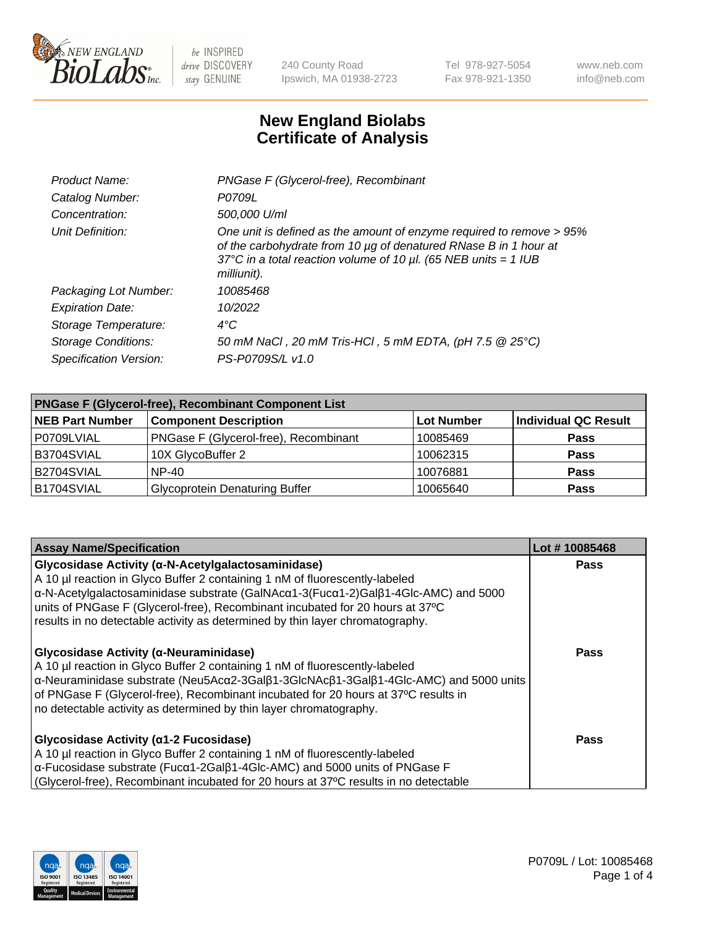

240 County Road Ipswich, MA 01938-2723 Tel 978-927-5054 Fax 978-921-1350

www.neb.com info@neb.com

## **New England Biolabs Certificate of Analysis**

| Product Name:              | PNGase F (Glycerol-free), Recombinant                                                                                                                                                                                           |
|----------------------------|---------------------------------------------------------------------------------------------------------------------------------------------------------------------------------------------------------------------------------|
| Catalog Number:            | P0709L                                                                                                                                                                                                                          |
| Concentration:             | 500,000 U/ml                                                                                                                                                                                                                    |
| Unit Definition:           | One unit is defined as the amount of enzyme required to remove > 95%<br>of the carbohydrate from 10 µg of denatured RNase B in 1 hour at<br>37°C in a total reaction volume of 10 $\mu$ l. (65 NEB units = 1 IUB<br>milliunit). |
| Packaging Lot Number:      | 10085468                                                                                                                                                                                                                        |
| <b>Expiration Date:</b>    | 10/2022                                                                                                                                                                                                                         |
| Storage Temperature:       | $4^{\circ}$ C                                                                                                                                                                                                                   |
| <b>Storage Conditions:</b> | 50 mM NaCl, 20 mM Tris-HCl, 5 mM EDTA, (pH 7.5 @ 25°C)                                                                                                                                                                          |
| Specification Version:     | PS-P0709S/L v1.0                                                                                                                                                                                                                |

| <b>PNGase F (Glycerol-free), Recombinant Component List</b> |                                       |                   |                      |  |
|-------------------------------------------------------------|---------------------------------------|-------------------|----------------------|--|
| <b>NEB Part Number</b>                                      | <b>Component Description</b>          | <b>Lot Number</b> | Individual QC Result |  |
| P0709LVIAL                                                  | PNGase F (Glycerol-free), Recombinant | 10085469          | <b>Pass</b>          |  |
| B3704SVIAL                                                  | 10X GlycoBuffer 2                     | 10062315          | <b>Pass</b>          |  |
| B2704SVIAL                                                  | $NP-40$                               | 10076881          | <b>Pass</b>          |  |
| B1704SVIAL                                                  | <b>Glycoprotein Denaturing Buffer</b> | 10065640          | <b>Pass</b>          |  |

| <b>Assay Name/Specification</b>                                                                                                                                                                                                                                                                                                                                                                                             | Lot #10085468 |
|-----------------------------------------------------------------------------------------------------------------------------------------------------------------------------------------------------------------------------------------------------------------------------------------------------------------------------------------------------------------------------------------------------------------------------|---------------|
| Glycosidase Activity (α-N-Acetylgalactosaminidase)<br>A 10 µl reaction in Glyco Buffer 2 containing 1 nM of fluorescently-labeled<br>$\alpha$ -N-Acetylgalactosaminidase substrate (GalNAc $\alpha$ 1-3(Fuc $\alpha$ 1-2)Gal $\beta$ 1-4Glc-AMC) and 5000<br>units of PNGase F (Glycerol-free), Recombinant incubated for 20 hours at 37°C<br>results in no detectable activity as determined by thin layer chromatography. | <b>Pass</b>   |
| Glycosidase Activity (α-Neuraminidase)<br>A 10 µl reaction in Glyco Buffer 2 containing 1 nM of fluorescently-labeled<br>α-Neuraminidase substrate (Neu5Acα2-3Galβ1-3GlcNAcβ1-3Galβ1-4Glc-AMC) and 5000 units<br>of PNGase F (Glycerol-free), Recombinant incubated for 20 hours at 37°C results in<br>no detectable activity as determined by thin layer chromatography.                                                   | Pass          |
| Glycosidase Activity ( $\alpha$ 1-2 Fucosidase)<br>A 10 µl reaction in Glyco Buffer 2 containing 1 nM of fluorescently-labeled<br>$\alpha$ -Fucosidase substrate (Fuc $\alpha$ 1-2Gal $\beta$ 1-4Glc-AMC) and 5000 units of PNGase F<br>(Glycerol-free), Recombinant incubated for 20 hours at 37°C results in no detectable                                                                                                | Pass          |

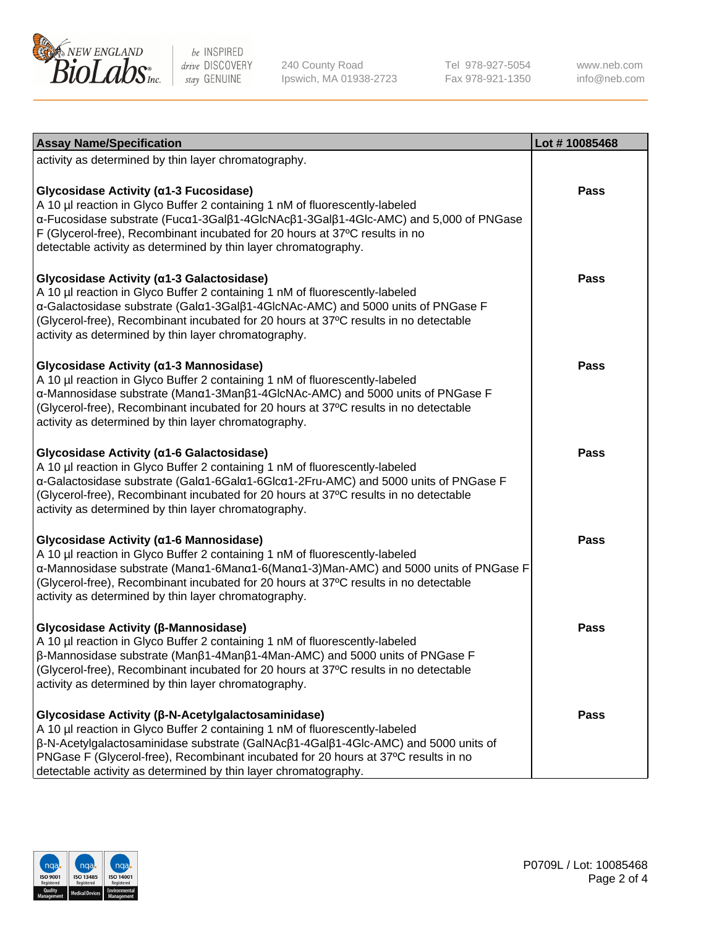

240 County Road Ipswich, MA 01938-2723 Tel 978-927-5054 Fax 978-921-1350

www.neb.com info@neb.com

| <b>Assay Name/Specification</b>                                                                                                                                                                                                                                                                                                                                                                         | Lot #10085468 |
|---------------------------------------------------------------------------------------------------------------------------------------------------------------------------------------------------------------------------------------------------------------------------------------------------------------------------------------------------------------------------------------------------------|---------------|
| activity as determined by thin layer chromatography.                                                                                                                                                                                                                                                                                                                                                    |               |
| Glycosidase Activity (α1-3 Fucosidase)<br>A 10 µl reaction in Glyco Buffer 2 containing 1 nM of fluorescently-labeled<br>α-Fucosidase substrate (Fucα1-3Galβ1-4GlcNAcβ1-3Galβ1-4Glc-AMC) and 5,000 of PNGase<br>F (Glycerol-free), Recombinant incubated for 20 hours at 37°C results in no<br>detectable activity as determined by thin layer chromatography.                                          | <b>Pass</b>   |
| Glycosidase Activity (α1-3 Galactosidase)<br>A 10 µl reaction in Glyco Buffer 2 containing 1 nM of fluorescently-labeled<br>α-Galactosidase substrate (Galα1-3Galβ1-4GlcNAc-AMC) and 5000 units of PNGase F<br>(Glycerol-free), Recombinant incubated for 20 hours at 37°C results in no detectable<br>activity as determined by thin layer chromatography.                                             | <b>Pass</b>   |
| Glycosidase Activity (a1-3 Mannosidase)<br>A 10 µl reaction in Glyco Buffer 2 containing 1 nM of fluorescently-labeled<br>α-Mannosidase substrate (Manα1-3Manβ1-4GlcNAc-AMC) and 5000 units of PNGase F<br>(Glycerol-free), Recombinant incubated for 20 hours at 37°C results in no detectable<br>activity as determined by thin layer chromatography.                                                 | <b>Pass</b>   |
| Glycosidase Activity (a1-6 Galactosidase)<br>A 10 µl reaction in Glyco Buffer 2 containing 1 nM of fluorescently-labeled<br>α-Galactosidase substrate (Galα1-6Galα1-6Glcα1-2Fru-AMC) and 5000 units of PNGase F<br>(Glycerol-free), Recombinant incubated for 20 hours at 37°C results in no detectable<br>activity as determined by thin layer chromatography.                                         | Pass          |
| Glycosidase Activity (α1-6 Mannosidase)<br>A 10 µl reaction in Glyco Buffer 2 containing 1 nM of fluorescently-labeled<br>α-Mannosidase substrate (Manα1-6Manα1-6(Manα1-3)Man-AMC) and 5000 units of PNGase F<br>(Glycerol-free), Recombinant incubated for 20 hours at 37°C results in no detectable<br>activity as determined by thin layer chromatography.                                           | <b>Pass</b>   |
| Glycosidase Activity (β-Mannosidase)<br>A 10 µl reaction in Glyco Buffer 2 containing 1 nM of fluorescently-labeled<br>β-Mannosidase substrate (Manβ1-4Manβ1-4Man-AMC) and 5000 units of PNGase F<br>(Glycerol-free), Recombinant incubated for 20 hours at 37°C results in no detectable<br>activity as determined by thin layer chromatography.                                                       | Pass          |
| Glycosidase Activity (β-N-Acetylgalactosaminidase)<br>A 10 µl reaction in Glyco Buffer 2 containing 1 nM of fluorescently-labeled<br>$\beta$ -N-Acetylgalactosaminidase substrate (GalNAc $\beta$ 1-4Gal $\beta$ 1-4Glc-AMC) and 5000 units of<br>PNGase F (Glycerol-free), Recombinant incubated for 20 hours at 37°C results in no<br>detectable activity as determined by thin layer chromatography. | <b>Pass</b>   |

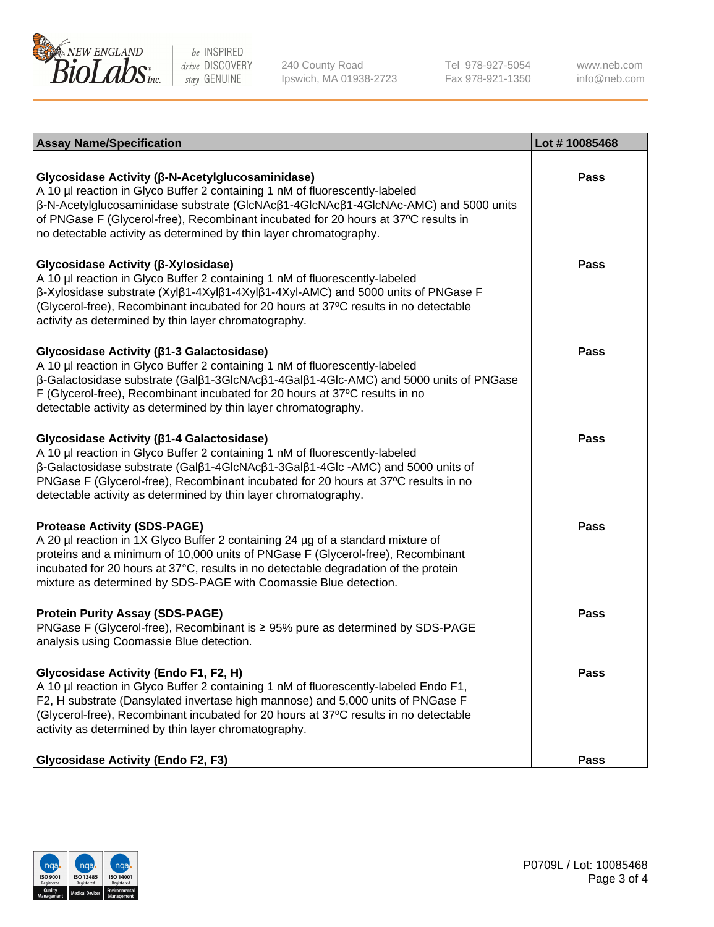

240 County Road Ipswich, MA 01938-2723 Tel 978-927-5054 Fax 978-921-1350 www.neb.com info@neb.com

| <b>Assay Name/Specification</b>                                                                                                                                                                                                                                                                                                                                                                           | Lot #10085468 |
|-----------------------------------------------------------------------------------------------------------------------------------------------------------------------------------------------------------------------------------------------------------------------------------------------------------------------------------------------------------------------------------------------------------|---------------|
| Glycosidase Activity (β-N-Acetylglucosaminidase)<br>A 10 µl reaction in Glyco Buffer 2 containing 1 nM of fluorescently-labeled<br>$\beta$ -N-Acetylglucosaminidase substrate (GIcNAc $\beta$ 1-4GIcNAc $\beta$ 1-4GIcNAc-AMC) and 5000 units<br>of PNGase F (Glycerol-free), Recombinant incubated for 20 hours at 37°C results in<br>no detectable activity as determined by thin layer chromatography. | <b>Pass</b>   |
| Glycosidase Activity (β-Xylosidase)<br>A 10 µl reaction in Glyco Buffer 2 containing 1 nM of fluorescently-labeled<br>$\beta$ -Xylosidase substrate (Xyl $\beta$ 1-4Xyl $\beta$ 1-4Xyl $\beta$ 1-4Xyl-AMC) and 5000 units of PNGase F<br>(Glycerol-free), Recombinant incubated for 20 hours at 37°C results in no detectable<br>activity as determined by thin layer chromatography.                     | <b>Pass</b>   |
| Glycosidase Activity (β1-3 Galactosidase)<br>A 10 µl reaction in Glyco Buffer 2 containing 1 nM of fluorescently-labeled<br>β-Galactosidase substrate (Galβ1-3GlcNAcβ1-4Galβ1-4Glc-AMC) and 5000 units of PNGase<br>F (Glycerol-free), Recombinant incubated for 20 hours at 37°C results in no<br>detectable activity as determined by thin layer chromatography.                                        | Pass          |
| Glycosidase Activity (β1-4 Galactosidase)<br>A 10 µl reaction in Glyco Buffer 2 containing 1 nM of fluorescently-labeled<br>$\beta$ -Galactosidase substrate (Gal $\beta$ 1-4GlcNAc $\beta$ 1-3Gal $\beta$ 1-4Glc -AMC) and 5000 units of<br>PNGase F (Glycerol-free), Recombinant incubated for 20 hours at 37°C results in no<br>detectable activity as determined by thin layer chromatography.        | <b>Pass</b>   |
| <b>Protease Activity (SDS-PAGE)</b><br>A 20 µl reaction in 1X Glyco Buffer 2 containing 24 µg of a standard mixture of<br>proteins and a minimum of 10,000 units of PNGase F (Glycerol-free), Recombinant<br>incubated for 20 hours at 37°C, results in no detectable degradation of the protein<br>mixture as determined by SDS-PAGE with Coomassie Blue detection.                                      | <b>Pass</b>   |
| <b>Protein Purity Assay (SDS-PAGE)</b><br>PNGase F (Glycerol-free), Recombinant is ≥ 95% pure as determined by SDS-PAGE<br>analysis using Coomassie Blue detection.                                                                                                                                                                                                                                       | Pass          |
| Glycosidase Activity (Endo F1, F2, H)<br>A 10 µl reaction in Glyco Buffer 2 containing 1 nM of fluorescently-labeled Endo F1,<br>F2, H substrate (Dansylated invertase high mannose) and 5,000 units of PNGase F<br>(Glycerol-free), Recombinant incubated for 20 hours at 37°C results in no detectable<br>activity as determined by thin layer chromatography.                                          | <b>Pass</b>   |
| <b>Glycosidase Activity (Endo F2, F3)</b>                                                                                                                                                                                                                                                                                                                                                                 | <b>Pass</b>   |